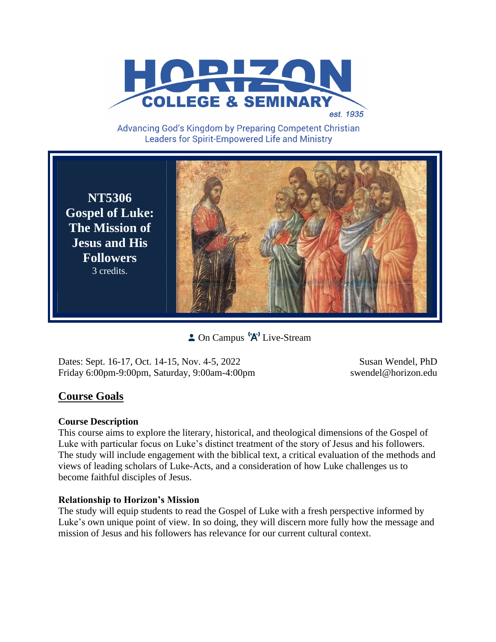

Advancing God's Kingdom by Preparing Competent Christian **Leaders for Spirit-Empowered Life and Ministry** 

**NT5306 Gospel of Luke: The Mission of Jesus and His Followers** 3 credits.

**C** On Campus  $^{\{n\}}$  Live-Stream

Dates: Sept. 16-17, Oct. 14-15, Nov. 4-5, 2022 Susan Wendel, PhD Friday 6:00pm-9:00pm, Saturday, 9:00am-4:00pm swendel@horizon.edu

# **Course Goals**

# **Course Description**

This course aims to explore the literary, historical, and theological dimensions of the Gospel of Luke with particular focus on Luke's distinct treatment of the story of Jesus and his followers. The study will include engagement with the biblical text, a critical evaluation of the methods and views of leading scholars of Luke-Acts, and a consideration of how Luke challenges us to become faithful disciples of Jesus.

# **Relationship to Horizon's Mission**

The study will equip students to read the Gospel of Luke with a fresh perspective informed by Luke's own unique point of view. In so doing, they will discern more fully how the message and mission of Jesus and his followers has relevance for our current cultural context.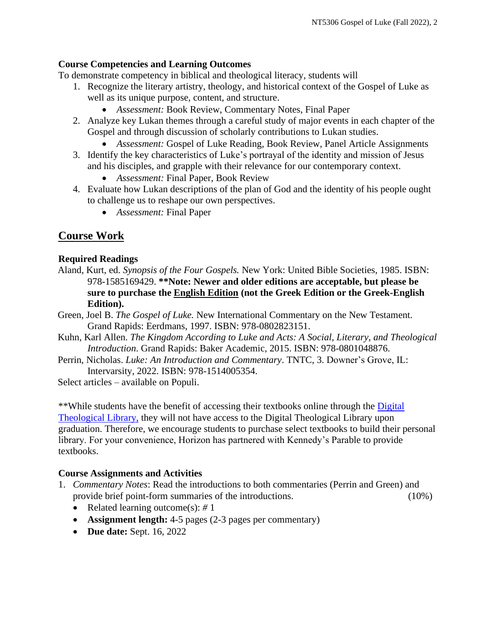# **Course Competencies and Learning Outcomes**

To demonstrate competency in biblical and theological literacy*,* students will

- 1. Recognize the literary artistry, theology, and historical context of the Gospel of Luke as well as its unique purpose, content, and structure.
	- *Assessment:* Book Review, Commentary Notes, Final Paper
- 2. Analyze key Lukan themes through a careful study of major events in each chapter of the Gospel and through discussion of scholarly contributions to Lukan studies.
	- *Assessment:* Gospel of Luke Reading, Book Review, Panel Article Assignments
- 3. Identify the key characteristics of Luke's portrayal of the identity and mission of Jesus and his disciples, and grapple with their relevance for our contemporary context.
	- *Assessment:* Final Paper, Book Review
- 4. Evaluate how Lukan descriptions of the plan of God and the identity of his people ought to challenge us to reshape our own perspectives.
	- *Assessment:* Final Paper

# **Course Work**

# **Required Readings**

- Aland, Kurt, ed. *Synopsis of the Four Gospels.* New York: United Bible Societies, 1985. ISBN: 978-1585169429. **\*\*Note: Newer and older editions are acceptable, but please be sure to purchase the English Edition (not the Greek Edition or the Greek-English Edition).**
- Green, Joel B. *The Gospel of Luke.* New International Commentary on the New Testament. Grand Rapids: Eerdmans, 1997. ISBN: 978-0802823151.
- Kuhn, Karl Allen. *The Kingdom According to Luke and Acts: A Social, Literary, and Theological Introduction*. Grand Rapids: Baker Academic, 2015. ISBN: 978-0801048876.
- Perrin, Nicholas. *Luke: An Introduction and Commentary*. TNTC, 3. Downer's Grove, IL: Intervarsity, 2022. ISBN: 978-1514005354.

Select articles – available on Populi.

\*\*While students have the benefit of accessing their textbooks online through the [Digital](https://saskatoon.mlasolutions.com/m5/catalog/(S(3h21syce2tpjqj0wea2rbnzr))/Default.aspx?installation=HRZN)  [Theological Library,](https://saskatoon.mlasolutions.com/m5/catalog/(S(3h21syce2tpjqj0wea2rbnzr))/Default.aspx?installation=HRZN) they will not have access to the Digital Theological Library upon graduation. Therefore, we encourage students to purchase select textbooks to build their personal library. For your convenience, Horizon has partnered with Kennedy's Parable to provide textbooks.

# **Course Assignments and Activities**

- 1. *Commentary Notes*: Read the introductions to both commentaries (Perrin and Green) and provide brief point-form summaries of the introductions. (10%)
	- Related learning outcome(s): #1
	- **Assignment length:** 4-5 pages (2-3 pages per commentary)
	- **Due date:** Sept. 16, 2022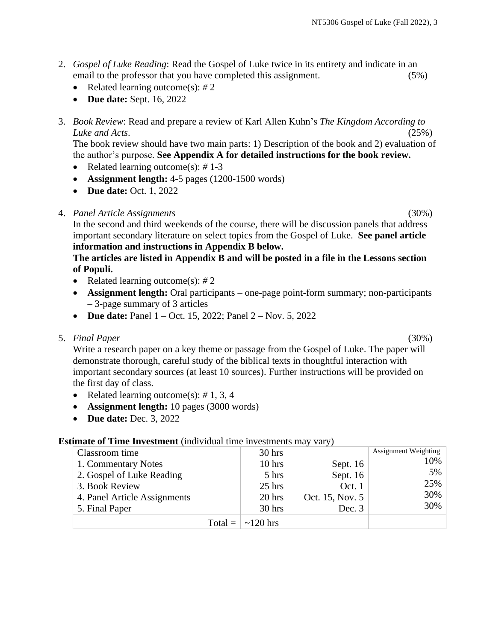- 2. *Gospel of Luke Reading*: Read the Gospel of Luke twice in its entirety and indicate in an email to the professor that you have completed this assignment. (5%)
	- Related learning outcome(s): #2
	- **Due date:** Sept. 16, 2022
- 3. *Book Review*: Read and prepare a review of Karl Allen Kuhn's *The Kingdom According to Luke and Acts*. (25%)

The book review should have two main parts: 1) Description of the book and 2) evaluation of the author's purpose. **See Appendix A for detailed instructions for the book review.**

- Related learning outcome(s): *#* 1-3
- **Assignment length:** 4-5 pages (1200-1500 words)
- **Due date: Oct. 1, 2022**
- 4. *Panel Article Assignments* (30%)

In the second and third weekends of the course, there will be discussion panels that address important secondary literature on select topics from the Gospel of Luke. **See panel article information and instructions in Appendix B below.**

## **The articles are listed in Appendix B and will be posted in a file in the Lessons section of Populi.**

- Related learning outcome(s): #2
- **Assignment length:** Oral participants one-page point-form summary; non-participants – 3-page summary of 3 articles
- **Due date:** Panel 1 Oct. 15, 2022; Panel 2 Nov. 5, 2022
- 5. *Final Paper* (30%)

Write a research paper on a key theme or passage from the Gospel of Luke. The paper will demonstrate thorough, careful study of the biblical texts in thoughtful interaction with important secondary sources (at least 10 sources). Further instructions will be provided on the first day of class.

- Related learning outcome(s): *#* 1, 3, 4
- **Assignment length:** 10 pages (3000 words)
- **Due date:** Dec. 3, 2022

### **Estimate of Time Investment** (individual time investments may vary)

| Classroom time               | $30$ hrs                     |                 | <b>Assignment Weighting</b> |
|------------------------------|------------------------------|-----------------|-----------------------------|
| 1. Commentary Notes          | $10$ hrs                     | Sept. $16$      | 10%                         |
| 2. Gospel of Luke Reading    | 5 hrs                        | Sept. 16        | 5%                          |
| 3. Book Review               | $25$ hrs                     | Oct. 1          | 25%                         |
| 4. Panel Article Assignments | $20$ hrs                     | Oct. 15, Nov. 5 | 30%                         |
| 5. Final Paper               | $30$ hrs                     | Dec. 3          | 30%                         |
|                              | Total = $\vert \sim 120$ hrs |                 |                             |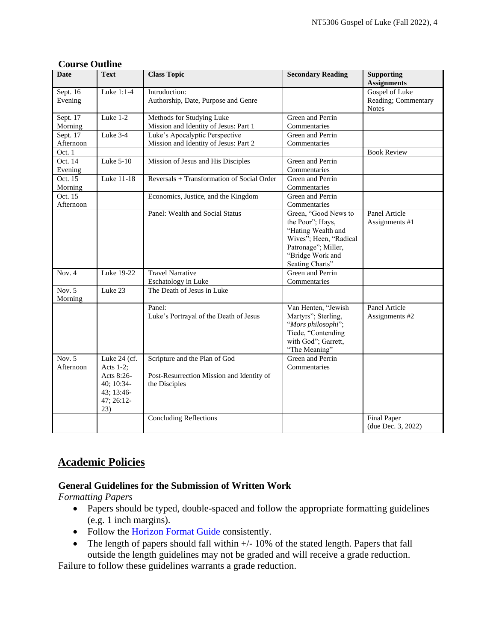| Course Quume          |                                                                                             |                                                                                             |                                                                                                                                                        |                                                       |
|-----------------------|---------------------------------------------------------------------------------------------|---------------------------------------------------------------------------------------------|--------------------------------------------------------------------------------------------------------------------------------------------------------|-------------------------------------------------------|
| Date                  | <b>Text</b>                                                                                 | <b>Class Topic</b>                                                                          | <b>Secondary Reading</b>                                                                                                                               | <b>Supporting</b><br><b>Assignments</b>               |
| Sept. 16<br>Evening   | Luke 1:1-4                                                                                  | Introduction:<br>Authorship, Date, Purpose and Genre                                        |                                                                                                                                                        | Gospel of Luke<br>Reading; Commentary<br><b>Notes</b> |
| Sept. $17$<br>Morning | Luke 1-2                                                                                    | Methods for Studying Luke<br>Mission and Identity of Jesus: Part 1                          | Green and Perrin<br>Commentaries                                                                                                                       |                                                       |
| Sept. 17<br>Afternoon | Luke 3-4                                                                                    | Luke's Apocalyptic Perspective<br>Mission and Identity of Jesus: Part 2                     | Green and Perrin<br>Commentaries                                                                                                                       |                                                       |
| Oct. 1                |                                                                                             |                                                                                             |                                                                                                                                                        | <b>Book Review</b>                                    |
| Oct. 14<br>Evening    | Luke 5-10                                                                                   | Mission of Jesus and His Disciples                                                          | Green and Perrin<br>Commentaries                                                                                                                       |                                                       |
| Oct. 15<br>Morning    | Luke 11-18                                                                                  | Reversals + Transformation of Social Order                                                  | Green and Perrin<br>Commentaries                                                                                                                       |                                                       |
| Oct. 15<br>Afternoon  |                                                                                             | Economics, Justice, and the Kingdom                                                         | Green and Perrin<br>Commentaries                                                                                                                       |                                                       |
|                       |                                                                                             | Panel: Wealth and Social Status                                                             | Green, "Good News to<br>the Poor"; Hays,<br>"Hating Wealth and<br>Wives"; Heen, "Radical<br>Patronage"; Miller,<br>"Bridge Work and<br>Seating Charts" | Panel Article<br>Assignments #1                       |
| Nov. 4                | Luke 19-22                                                                                  | <b>Travel Narrative</b><br>Eschatology in Luke                                              | Green and Perrin<br>Commentaries                                                                                                                       |                                                       |
| Nov. 5<br>Morning     | Luke 23                                                                                     | The Death of Jesus in Luke                                                                  |                                                                                                                                                        |                                                       |
|                       |                                                                                             | Panel:<br>Luke's Portrayal of the Death of Jesus                                            | Van Henten, "Jewish<br>Martyrs"; Sterling,<br>"Mors philosophi";<br>Tiede, "Contending<br>with God"; Garrett,<br>"The Meaning"                         | Panel Article<br>Assignments #2                       |
| Nov. $5$<br>Afternoon | Luke 24 (cf.<br>Acts $1-2$ ;<br>Acts 8:26-<br>40; 10:34-<br>43; 13:46-<br>47; 26:12-<br>23) | Scripture and the Plan of God<br>Post-Resurrection Mission and Identity of<br>the Disciples | Green and Perrin<br>Commentaries                                                                                                                       |                                                       |
|                       |                                                                                             | <b>Concluding Reflections</b>                                                               |                                                                                                                                                        | Final Paper<br>(due Dec. 3, 2022)                     |

# **Course Outline**

# **Academic Policies**

# **General Guidelines for the Submission of Written Work**

*Formatting Papers* 

- Papers should be typed, double-spaced and follow the appropriate formatting guidelines (e.g. 1 inch margins).
- Follow the [Horizon Format Guide](https://www.horizon.edu/students/resources/) consistently.
- The length of papers should fall within  $+/-10\%$  of the stated length. Papers that fall outside the length guidelines may not be graded and will receive a grade reduction.

Failure to follow these guidelines warrants a grade reduction.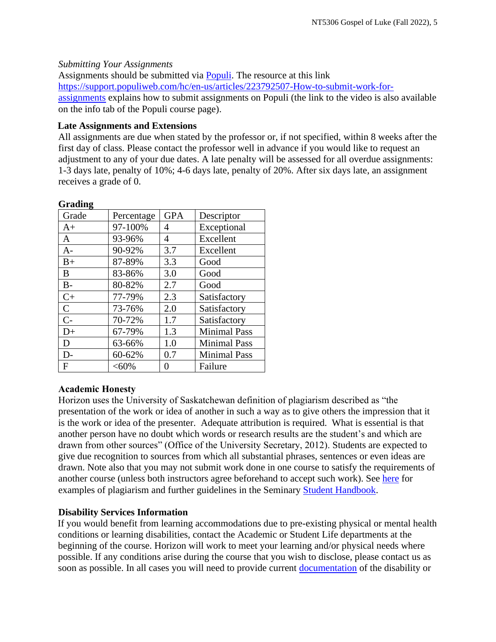# *Submitting Your Assignments*

Assignments should be submitted via [Populi.](https://horizon.populiweb.com/) The resource at this link [https://support.populiweb.com/hc/en-us/articles/223792507-How-to-submit-work-for](https://support.populiweb.com/hc/en-us/articles/223792507-How-to-submit-work-for-assignments)[assignments](https://support.populiweb.com/hc/en-us/articles/223792507-How-to-submit-work-for-assignments) explains how to submit assignments on Populi (the link to the video is also available on the info tab of the Populi course page).

## **Late Assignments and Extensions**

All assignments are due when stated by the professor or, if not specified, within 8 weeks after the first day of class. Please contact the professor well in advance if you would like to request an adjustment to any of your due dates. A late penalty will be assessed for all overdue assignments: 1-3 days late, penalty of 10%; 4-6 days late, penalty of 20%. After six days late, an assignment receives a grade of 0.

| Oraumg       |            |            |                     |  |  |  |
|--------------|------------|------------|---------------------|--|--|--|
| Grade        | Percentage | <b>GPA</b> | Descriptor          |  |  |  |
| $A+$         | 97-100%    | 4          | Exceptional         |  |  |  |
| A            | 93-96%     | 4          | Excellent           |  |  |  |
| A-           | 90-92%     | 3.7        | Excellent           |  |  |  |
| $B+$         | 87-89%     | 3.3        | Good                |  |  |  |
| B            | 83-86%     | 3.0        | Good                |  |  |  |
| $B -$        | 80-82%     | 2.7        | Good                |  |  |  |
| $C+$         | 77-79%     | 2.3        | Satisfactory        |  |  |  |
| $\mathsf{C}$ | 73-76%     | 2.0        | Satisfactory        |  |  |  |
| $C-$         | 70-72%     | 1.7        | Satisfactory        |  |  |  |
| $D+$         | 67-79%     | 1.3        | <b>Minimal Pass</b> |  |  |  |
| D            | 63-66%     | 1.0        | <b>Minimal Pass</b> |  |  |  |
| D-           | 60-62%     | 0.7        | <b>Minimal Pass</b> |  |  |  |
| $\mathbf{F}$ | $<,60\%$   | 0          | Failure             |  |  |  |

### **Grading**

# **Academic Honesty**

Horizon uses the University of Saskatchewan definition of plagiarism described as "the presentation of the work or idea of another in such a way as to give others the impression that it is the work or idea of the presenter. Adequate attribution is required. What is essential is that another person have no doubt which words or research results are the student's and which are drawn from other sources" (Office of the University Secretary, 2012). Students are expected to give due recognition to sources from which all substantial phrases, sentences or even ideas are drawn. Note also that you may not submit work done in one course to satisfy the requirements of another course (unless both instructors agree beforehand to accept such work). See [here](http://www.turnitin.com/assets/en_us/media/plagiarism_spectrum.php) for examples of plagiarism and further guidelines in the Seminary [Student Handbook.](https://www.horizon.edu/students/resources/)

# **Disability Services Information**

If you would benefit from learning accommodations due to pre-existing physical or mental health conditions or learning disabilities, contact the Academic or Student Life departments at the beginning of the course. Horizon will work to meet your learning and/or physical needs where possible. If any conditions arise during the course that you wish to disclose, please contact us as soon as possible. In all cases you will need to provide current [documentation](https://www.horizon.edu/students/support/) of the disability or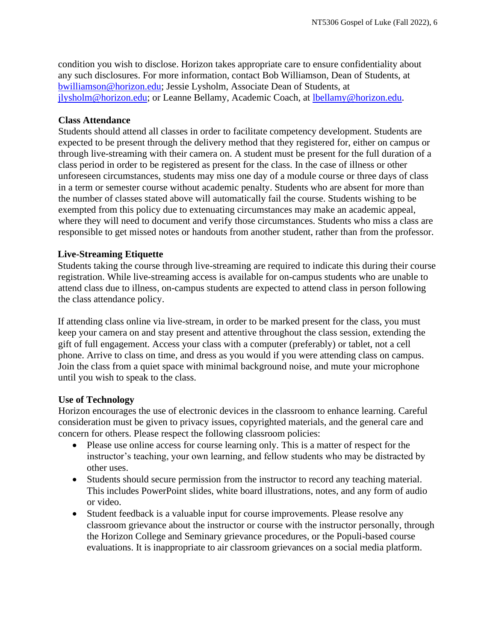condition you wish to disclose. Horizon takes appropriate care to ensure confidentiality about any such disclosures. For more information, contact Bob Williamson, Dean of Students, at [bwilliamson@horizon.edu;](mailto:bwilliamson@horizon.edu) Jessie Lysholm, Associate Dean of Students, at [jlysholm@horizon.edu;](mailto:jlysholm@horizon.edu) or Leanne Bellamy, Academic Coach, at [lbellamy@horizon.edu.](mailto:lbellamy@horizon.edu)

### **Class Attendance**

Students should attend all classes in order to facilitate competency development. Students are expected to be present through the delivery method that they registered for, either on campus or through live-streaming with their camera on. A student must be present for the full duration of a class period in order to be registered as present for the class. In the case of illness or other unforeseen circumstances, students may miss one day of a module course or three days of class in a term or semester course without academic penalty. Students who are absent for more than the number of classes stated above will automatically fail the course. Students wishing to be exempted from this policy due to extenuating circumstances may make an academic appeal, where they will need to document and verify those circumstances. Students who miss a class are responsible to get missed notes or handouts from another student, rather than from the professor.

### **Live-Streaming Etiquette**

Students taking the course through live-streaming are required to indicate this during their course registration. While live-streaming access is available for on-campus students who are unable to attend class due to illness, on-campus students are expected to attend class in person following the class attendance policy.

If attending class online via live-stream, in order to be marked present for the class, you must keep your camera on and stay present and attentive throughout the class session, extending the gift of full engagement. Access your class with a computer (preferably) or tablet, not a cell phone. Arrive to class on time, and dress as you would if you were attending class on campus. Join the class from a quiet space with minimal background noise, and mute your microphone until you wish to speak to the class.

### **Use of Technology**

Horizon encourages the use of electronic devices in the classroom to enhance learning. Careful consideration must be given to privacy issues, copyrighted materials, and the general care and concern for others. Please respect the following classroom policies:

- Please use online access for course learning only. This is a matter of respect for the instructor's teaching, your own learning, and fellow students who may be distracted by other uses.
- Students should secure permission from the instructor to record any teaching material. This includes PowerPoint slides, white board illustrations, notes, and any form of audio or video.
- Student feedback is a valuable input for course improvements. Please resolve any classroom grievance about the instructor or course with the instructor personally, through the Horizon College and Seminary grievance procedures, or the Populi-based course evaluations. It is inappropriate to air classroom grievances on a social media platform.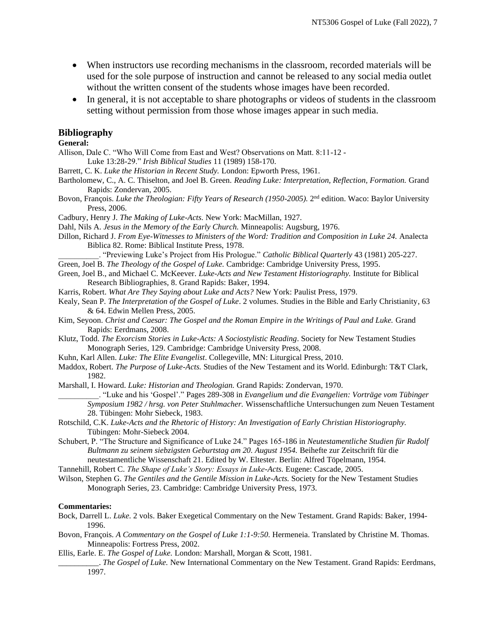- When instructors use recording mechanisms in the classroom, recorded materials will be used for the sole purpose of instruction and cannot be released to any social media outlet without the written consent of the students whose images have been recorded.
- In general, it is not acceptable to share photographs or videos of students in the classroom setting without permission from those whose images appear in such media.

#### **Bibliography**

**General:**

Allison, Dale C. "Who Will Come from East and West? Observations on Matt. 8:11-12 - Luke 13:28-29." *Irish Biblical Studies* 11 (1989) 158-170.

- Barrett, C. K. *Luke the Historian in Recent Study.* London: Epworth Press, 1961.
- Bartholomew, C., A. C. Thiselton, and Joel B. Green. *Reading Luke: Interpretation, Reflection, Formation.* Grand Rapids: Zondervan, 2005.
- Bovon, François. *Luke the Theologian: Fifty Years of Research (1950-2005)*. 2<sup>nd</sup> edition. Waco: Baylor University Press, 2006.
- Cadbury, Henry J. *The Making of Luke-Acts.* New York: MacMillan, 1927.
- Dahl, Nils A. *Jesus in the Memory of the Early Church.* Minneapolis: Augsburg, 1976.
- Dillon, Richard J. *From Eye-Witnesses to Ministers of the Word: Tradition and Composition in Luke 24.* Analecta Biblica 82. Rome: Biblical Institute Press, 1978.
	- \_\_\_\_\_\_\_\_\_\_. "Previewing Luke's Project from His Prologue." *Catholic Biblical Quarterly* 43 (1981) 205-227.

Green, Joel B. *The Theology of the Gospel of Luke.* Cambridge: Cambridge University Press, 1995.

- Green, Joel B., and Michael C. McKeever. *Luke-Acts and New Testament Historiography.* Institute for Biblical Research Bibliographies, 8. Grand Rapids: Baker, 1994.
- Karris, Robert. *What Are They Saying about Luke and Acts?* New York: Paulist Press, 1979.
- Kealy, Sean P. *The Interpretation of the Gospel of Luke*. 2 volumes. Studies in the Bible and Early Christianity, 63 & 64. Edwin Mellen Press, 2005.
- Kim, Seyoon. *Christ and Caesar: The Gospel and the Roman Empire in the Writings of Paul and Luke.* Grand Rapids: Eerdmans, 2008.
- Klutz, Todd. *The Exorcism Stories in Luke-Acts: A Sociostylistic Reading*. Society for New Testament Studies Monograph Series, 129. Cambridge: Cambridge University Press, 2008.
- Kuhn, Karl Allen. *Luke: The Elite Evangelist*. Collegeville, MN: Liturgical Press, 2010.
- Maddox, Robert. *The Purpose of Luke-Acts.* Studies of the New Testament and its World. Edinburgh: T&T Clark, 1982.

Marshall, I. Howard. *Luke: Historian and Theologian.* Grand Rapids: Zondervan, 1970.

\_\_\_\_\_\_\_\_\_\_. "Luke and his 'Gospel'." Pages 289-308 in *Evangelium und die Evangelien: Vorträge vom Tübinger Symposium 1982 / hrsg. von Peter Stuhlmacher.* Wissenschaftliche Untersuchungen zum Neuen Testament 28. Tübingen: Mohr Siebeck, 1983.

- Rotschild, C.K. *Luke-Acts and the Rhetoric of History: An Investigation of Early Christian Historiography.*  Tübingen: Mohr-Siebeck 2004.
- Schubert, P. "The Structure and Significance of Luke 24." Pages 165-186 in *Neutestamentliche Studien für Rudolf Bultmann zu seinem siebzigsten Geburtstag am 20. August 1954.* Beihefte zur Zeitschrift für die neutestamentliche Wissenschaft 21. Edited by W. Eltester. Berlin: Alfred Töpelmann, 1954.
- Tannehill, Robert C. *The Shape of Luke's Story: Essays in Luke-Acts.* Eugene: Cascade, 2005.
- Wilson, Stephen G. *The Gentiles and the Gentile Mission in Luke-Acts.* Society for the New Testament Studies Monograph Series, 23. Cambridge: Cambridge University Press, 1973.

#### **Commentaries:**

- Bock, Darrell L. *Luke.* 2 vols. Baker Exegetical Commentary on the New Testament. Grand Rapids: Baker, 1994- 1996.
- Bovon, François. *A Commentary on the Gospel of Luke 1:1-9:50.* Hermeneia. Translated by Christine M. Thomas. Minneapolis: Fortress Press, 2002.
- Ellis, Earle. E. *The Gospel of Luke.* London: Marshall, Morgan & Scott, 1981.

\_\_\_\_\_\_\_\_\_\_. *The Gospel of Luke.* New International Commentary on the New Testament. Grand Rapids: Eerdmans, 1997.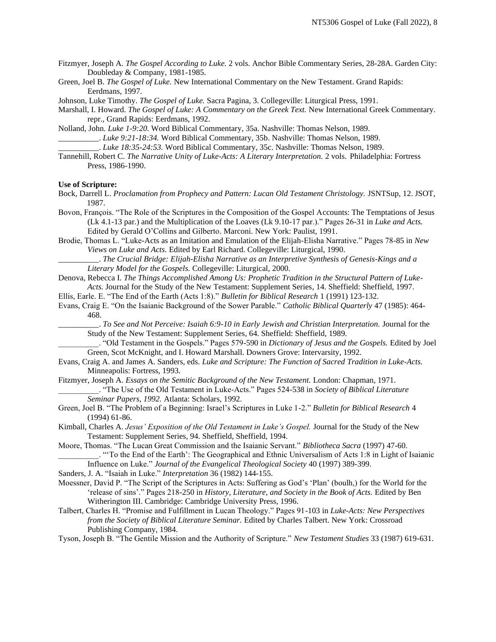- Fitzmyer, Joseph A. *The Gospel According to Luke.* 2 vols. Anchor Bible Commentary Series, 28-28A. Garden City: Doubleday & Company, 1981-1985.
- Green, Joel B. *The Gospel of Luke.* New International Commentary on the New Testament. Grand Rapids: Eerdmans, 1997.
- Johnson, Luke Timothy. *The Gospel of Luke.* Sacra Pagina, 3. Collegeville: Liturgical Press, 1991.

Marshall, I. Howard. *The Gospel of Luke: A Commentary on the Greek Text.* New International Greek Commentary. repr., Grand Rapids: Eerdmans, 1992.

- Nolland, John. *Luke 1-9:20.* Word Biblical Commentary, 35a. Nashville: Thomas Nelson, 1989. \_\_\_\_\_\_\_\_\_\_. *Luke 9:21-18:34.* Word Biblical Commentary, 35b. Nashville: Thomas Nelson, 1989. \_\_\_\_\_\_\_\_\_\_. *Luke 18:35-24:53.* Word Biblical Commentary, 35c. Nashville: Thomas Nelson, 1989.
- Tannehill, Robert C. *The Narrative Unity of Luke-Acts: A Literary Interpretation.* 2 vols. Philadelphia: Fortress Press, 1986-1990.

#### **Use of Scripture:**

- Bock, Darrell L. *Proclamation from Prophecy and Pattern: Lucan Old Testament Christology.* JSNTSup, 12. JSOT, 1987.
- Bovon, François. "The Role of the Scriptures in the Composition of the Gospel Accounts: The Temptations of Jesus (Lk 4.1-13 par.) and the Multiplication of the Loaves (Lk 9.10-17 par.)." Pages 26-31 in *Luke and Acts.* Edited by Gerald O'Collins and Gilberto. Marconi. New York: Paulist, 1991.
- Brodie, Thomas L. "Luke-Acts as an Imitation and Emulation of the Elijah-Elisha Narrative." Pages 78-85 in *New Views on Luke and Acts.* Edited by Earl Richard. Collegeville: Liturgical, 1990.

\_\_\_\_\_\_\_\_\_\_. *The Crucial Bridge: Elijah-Elisha Narrative as an Interpretive Synthesis of Genesis-Kings and a Literary Model for the Gospels.* Collegeville: Liturgical, 2000.

Denova, Rebecca I. *The Things Accomplished Among Us: Prophetic Tradition in the Structural Pattern of Luke-Acts.* Journal for the Study of the New Testament: Supplement Series, 14. Sheffield: Sheffield, 1997.

- Ellis, Earle. E. "The End of the Earth (Acts 1:8)." *Bulletin for Biblical Research* 1 (1991) 123-132.
- Evans, Craig E. "On the Isaianic Background of the Sower Parable." *Catholic Biblical Quarterly* 47 (1985): 464- 468.

\_\_\_\_\_\_\_\_\_\_. *To See and Not Perceive: Isaiah 6:9-10 in Early Jewish and Christian Interpretation.* Journal for the Study of the New Testament: Supplement Series, 64. Sheffield: Sheffield, 1989.

\_\_\_\_\_\_\_\_\_\_. "Old Testament in the Gospels." Pages 579-590 in *Dictionary of Jesus and the Gospels.* Edited by Joel Green, Scot McKnight, and I. Howard Marshall. Downers Grove: Intervarsity, 1992.

- Evans, Craig A. and James A. Sanders, eds. *Luke and Scripture: The Function of Sacred Tradition in Luke-Acts.* Minneapolis: Fortress, 1993.
- Fitzmyer, Joseph A. *Essays on the Semitic Background of the New Testament.* London: Chapman, 1971. \_\_\_\_\_\_\_\_\_\_. "The Use of the Old Testament in Luke-Acts." Pages 524-538 in *Society of Biblical Literature Seminar Papers, 1992.* Atlanta: Scholars, 1992.
- Green, Joel B. "The Problem of a Beginning: Israel's Scriptures in Luke 1-2." *Bulletin for Biblical Research* 4 (1994) 61-86.
- Kimball, Charles A. *Jesus' Exposition of the Old Testament in Luke's Gospel.* Journal for the Study of the New Testament: Supplement Series, 94. Sheffield, Sheffield, 1994.
- Moore, Thomas. "The Lucan Great Commission and the Isaianic Servant." *Bibliotheca Sacra* (1997) 47-60. \_\_\_\_\_\_\_\_\_\_. "'To the End of the Earth': The Geographical and Ethnic Universalism of Acts 1:8 in Light of Isaianic

Influence on Luke." *Journal of the Evangelical Theological Society* 40 (1997) 389-399.

- Sanders, J. A. "Isaiah in Luke." *Interpretation* 36 (1982) 144-155.
- Moessner, David P. "The Script of the Scriptures in Acts: Suffering as God's 'Plan' (boulh,) for the World for the 'release of sins'." Pages 218-250 in *History, Literature, and Society in the Book of Acts.* Edited by Ben Witherington III. Cambridge: Cambridge University Press, 1996.
- Talbert, Charles H. "Promise and Fulfillment in Lucan Theology." Pages 91-103 in *Luke-Acts: New Perspectives from the Society of Biblical Literature Seminar.* Edited by Charles Talbert. New York: Crossroad Publishing Company, 1984.

Tyson, Joseph B. "The Gentile Mission and the Authority of Scripture." *New Testament Studies* 33 (1987) 619-631.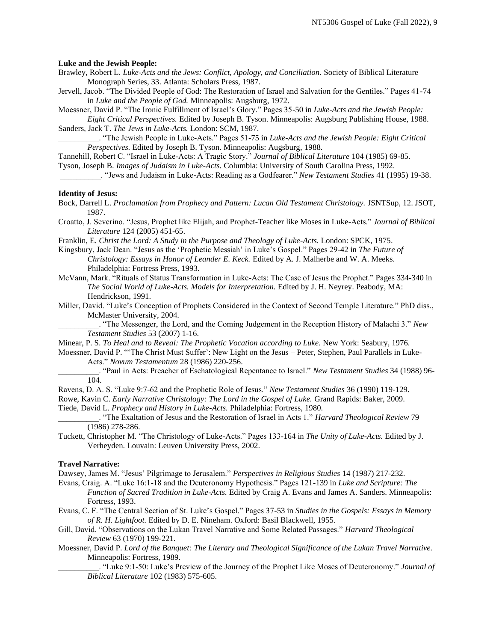#### **Luke and the Jewish People:**

- Brawley, Robert L. *Luke-Acts and the Jews: Conflict, Apology, and Conciliation.* Society of Biblical Literature Monograph Series, 33. Atlanta: Scholars Press, 1987.
- Jervell, Jacob. "The Divided People of God: The Restoration of Israel and Salvation for the Gentiles." Pages 41-74 in *Luke and the People of God.* Minneapolis: Augsburg, 1972.

Moessner, David P. "The Ironic Fulfillment of Israel's Glory." Pages 35-50 in *Luke-Acts and the Jewish People: Eight Critical Perspectives.* Edited by Joseph B. Tyson. Minneapolis: Augsburg Publishing House, 1988.

Sanders, Jack T. *The Jews in Luke-Acts.* London: SCM, 1987. \_\_\_\_\_\_\_\_\_\_. "The Jewish People in Luke-Acts." Pages 51-75 in *Luke-Acts and the Jewish People: Eight Critical Perspectives.* Edited by Joseph B. Tyson. Minneapolis: Augsburg, 1988.

Tannehill, Robert C. "Israel in Luke-Acts: A Tragic Story." *Journal of Biblical Literature* 104 (1985) 69-85.

Tyson, Joseph B. *Images of Judaism in Luke-Acts.* Columbia: University of South Carolina Press, 1992.

\_\_\_\_\_\_\_\_\_\_. "Jews and Judaism in Luke-Acts: Reading as a Godfearer." *New Testament Studies* 41 (1995) 19-38.

#### **Identity of Jesus:**

- Bock, Darrell L. *Proclamation from Prophecy and Pattern: Lucan Old Testament Christology.* JSNTSup, 12. JSOT, 1987.
- Croatto, J. Severino. "Jesus, Prophet like Elijah, and Prophet-Teacher like Moses in Luke-Acts." *Journal of Biblical Literature* 124 (2005) 451-65.
- Franklin, E. *Christ the Lord: A Study in the Purpose and Theology of Luke-Acts.* London: SPCK, 1975.
- Kingsbury, Jack Dean. "Jesus as the 'Prophetic Messiah' in Luke's Gospel." Pages 29-42 in *The Future of Christology: Essays in Honor of Leander E. Keck.* Edited by A. J. Malherbe and W. A. Meeks. Philadelphia: Fortress Press, 1993.
- McVann, Mark. "Rituals of Status Transformation in Luke-Acts: The Case of Jesus the Prophet." Pages 334-340 in *The Social World of Luke-Acts. Models for Interpretation.* Edited by J. H. Neyrey. Peabody, MA: Hendrickson, 1991.
- Miller, David. "Luke's Conception of Prophets Considered in the Context of Second Temple Literature." PhD diss., McMaster University, 2004.

\_\_\_\_\_\_\_\_\_\_. "The Messenger, the Lord, and the Coming Judgement in the Reception History of Malachi 3." *New Testament Studies* 53 (2007) 1-16.

Minear, P. S. *To Heal and to Reveal: The Prophetic Vocation according to Luke.* New York: Seabury, 1976.

Moessner, David P. "'The Christ Must Suffer': New Light on the Jesus – Peter, Stephen, Paul Parallels in Luke-Acts." *Novum Testamentum* 28 (1986) 220-256.

\_\_\_\_\_\_\_\_\_\_. "Paul in Acts: Preacher of Eschatological Repentance to Israel." *New Testament Studies* 34 (1988) 96- 104.

Ravens, D. A. S. "Luke 9:7-62 and the Prophetic Role of Jesus." *New Testament Studies* 36 (1990) 119-129.

Rowe, Kavin C. *Early Narrative Christology: The Lord in the Gospel of Luke.* Grand Rapids: Baker, 2009. Tiede, David L. *Prophecy and History in Luke-Acts.* Philadelphia: Fortress, 1980.

\_\_\_\_\_\_\_\_\_\_. "The Exaltation of Jesus and the Restoration of Israel in Acts 1." *Harvard Theological Review* 79 (1986) 278-286.

Tuckett, Christopher M. "The Christology of Luke-Acts." Pages 133-164 in *The Unity of Luke-Acts.* Edited by J. Verheyden. Louvain: Leuven University Press, 2002.

#### **Travel Narrative:**

Dawsey, James M. "Jesus' Pilgrimage to Jerusalem." *Perspectives in Religious Studies* 14 (1987) 217-232.

Evans, Craig. A. "Luke 16:1-18 and the Deuteronomy Hypothesis." Pages 121-139 in *Luke and Scripture: The Function of Sacred Tradition in Luke-Acts.* Edited by Craig A. Evans and James A. Sanders. Minneapolis: Fortress, 1993.

Evans, C. F. "The Central Section of St. Luke's Gospel." Pages 37-53 in *Studies in the Gospels: Essays in Memory of R. H. Lightfoot.* Edited by D. E. Nineham. Oxford: Basil Blackwell, 1955.

Gill, David. "Observations on the Lukan Travel Narrative and Some Related Passages." *Harvard Theological Review* 63 (1970) 199-221.

- Moessner, David P. *Lord of the Banquet: The Literary and Theological Significance of the Lukan Travel Narrative.*  Minneapolis: Fortress, 1989.
	- \_\_\_\_\_\_\_\_\_\_. "Luke 9:1-50: Luke's Preview of the Journey of the Prophet Like Moses of Deuteronomy." *Journal of Biblical Literature* 102 (1983) 575-605.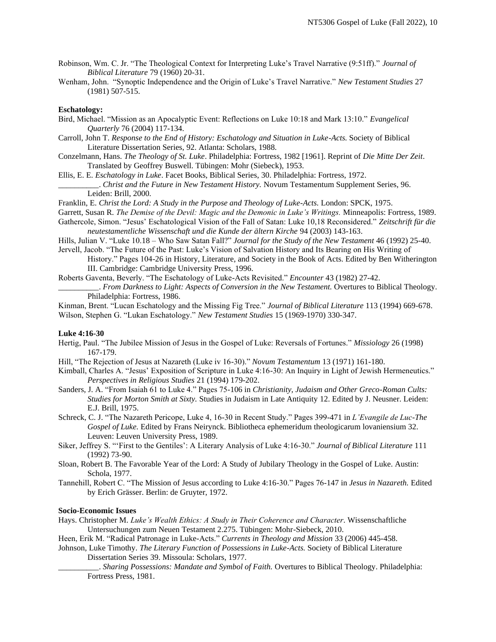- Robinson, Wm. C. Jr. "The Theological Context for Interpreting Luke's Travel Narrative (9:51ff)." *Journal of Biblical Literature* 79 (1960) 20-31.
- Wenham, John. "Synoptic Independence and the Origin of Luke's Travel Narrative." *New Testament Studies* 27 (1981) 507-515.

#### **Eschatology:**

- Bird, Michael. "Mission as an Apocalyptic Event: Reflections on Luke 10:18 and Mark 13:10." *Evangelical Quarterly* 76 (2004) 117-134.
- Carroll, John T. *Response to the End of History: Eschatology and Situation in Luke-Acts.* Society of Biblical Literature Dissertation Series, 92. Atlanta: Scholars, 1988.
- Conzelmann, Hans. *The Theology of St. Luke*. Philadelphia: Fortress, 1982 [1961]. Reprint of *Die Mitte Der Zeit*. Translated by Geoffrey Buswell. Tübingen: Mohr (Siebeck), 1953.
- Ellis, E. E. *Eschatology in Luke*. Facet Books, Biblical Series, 30. Philadelphia: Fortress, 1972.
	- \_\_\_\_\_\_\_\_\_\_. *Christ and the Future in New Testament History.* Novum Testamentum Supplement Series, 96. Leiden: Brill, 2000.
- Franklin, E. *Christ the Lord: A Study in the Purpose and Theology of Luke-Acts.* London: SPCK, 1975.
- Garrett, Susan R. *The Demise of the Devil: Magic and the Demonic in Luke's Writings.* Minneapolis: Fortress, 1989. Gathercole, Simon. "Jesus' Eschatological Vision of the Fall of Satan: Luke 10,18 Reconsidered." *Zeitschrift für die* 
	- *neutestamentliche Wissenschaft und die Kunde der ältern Kirche* 94 (2003) 143-163.
- Hills, Julian V. "Luke 10.18 Who Saw Satan Fall?" *Journal for the Study of the New Testament* 46 (1992) 25-40. Jervell, Jacob. "The Future of the Past: Luke's Vision of Salvation History and Its Bearing on His Writing of
	- History." Pages 104-26 in History, Literature, and Society in the Book of Acts. Edited by Ben Witherington III. Cambridge: Cambridge University Press, 1996.
- Roberts Gaventa, Beverly. "The Eschatology of Luke-Acts Revisited." *Encounter* 43 (1982) 27-42.

\_\_\_\_\_\_\_\_\_\_. *From Darkness to Light: Aspects of Conversion in the New Testament.* Overtures to Biblical Theology. Philadelphia: Fortress, 1986.

Kinman, Brent. "Lucan Eschatology and the Missing Fig Tree." *Journal of Biblical Literature* 113 (1994) 669-678. Wilson, Stephen G. "Lukan Eschatology." *New Testament Studies* 15 (1969-1970) 330-347.

#### **Luke 4:16-30**

- Hertig, Paul. "The Jubilee Mission of Jesus in the Gospel of Luke: Reversals of Fortunes." *Missiology* 26 (1998) 167-179.
- Hill, "The Rejection of Jesus at Nazareth (Luke iv 16-30)." *Novum Testamentum* 13 (1971) 161-180.
- Kimball, Charles A. "Jesus' Exposition of Scripture in Luke 4:16-30: An Inquiry in Light of Jewish Hermeneutics." *Perspectives in Religious Studies* 21 (1994) 179-202.
- Sanders, J. A. "From Isaiah 61 to Luke 4." Pages 75-106 in *Christianity, Judaism and Other Greco-Roman Cults: Studies for Morton Smith at Sixty.* Studies in Judaism in Late Antiquity 12. Edited by J. Neusner. Leiden: E.J. Brill, 1975.
- Schreck, C. J. "The Nazareth Pericope, Luke 4, 16-30 in Recent Study." Pages 399-471 in *L'Evangile de Luc-The Gospel of Luke.* Edited by Frans Neirynck. Bibliotheca ephemeridum theologicarum lovaniensium 32. Leuven: Leuven University Press, 1989.
- Siker, Jeffrey S. "'First to the Gentiles': A Literary Analysis of Luke 4:16-30." *Journal of Biblical Literature* 111 (1992) 73-90.
- Sloan, Robert B. The Favorable Year of the Lord: A Study of Jubilary Theology in the Gospel of Luke. Austin: Schola, 1977.
- Tannehill, Robert C. "The Mission of Jesus according to Luke 4:16-30." Pages 76-147 in *Jesus in Nazareth.* Edited by Erich Grässer. Berlin: de Gruyter, 1972.

#### **Socio-Economic Issues**

- Hays. Christopher M. *[Luke's Wealth Ethics: A Study in Their Coherence and Character.](http://www.amazon.com/dp/3161502698/?tag=thegospcoal-20)* Wissenschaftliche Untersuchungen zum Neuen Testament 2.275. Tübingen: Mohr-Siebeck, 2010.
- Heen, Erik M. "Radical Patronage in Luke-Acts." *Currents in Theology and Mission* 33 (2006) 445-458.

Johnson, Luke Timothy. *The Literary Function of Possessions in Luke-Acts.* Society of Biblical Literature Dissertation Series 39. Missoula: Scholars, 1977.

\_\_\_\_\_\_\_\_\_\_. *Sharing Possessions: Mandate and Symbol of Faith.* Overtures to Biblical Theology. Philadelphia: Fortress Press, 1981.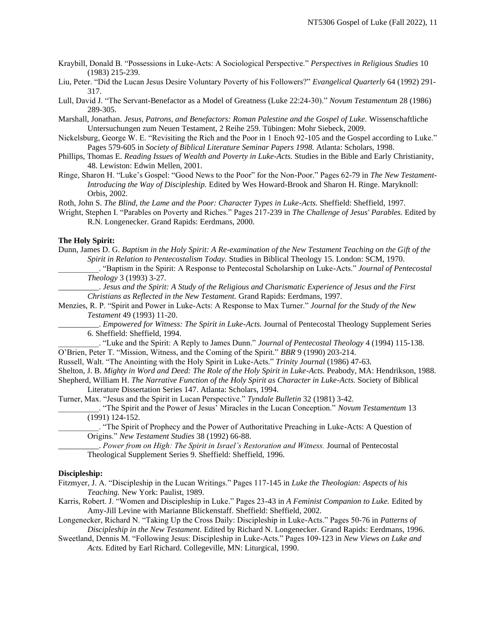- Kraybill, Donald B. "Possessions in Luke-Acts: A Sociological Perspective." *Perspectives in Religious Studies* 10 (1983) 215-239.
- Liu, Peter. "Did the Lucan Jesus Desire Voluntary Poverty of his Followers?" *Evangelical Quarterly* 64 (1992) 291- 317.
- Lull, David J. "The Servant-Benefactor as a Model of Greatness (Luke 22:24-30)." *Novum Testamentum* 28 (1986) 289-305.
- Marshall, Jonathan. *Jesus, Patrons, and Benefactors: Roman Palestine and the Gospel of Luke.* Wissenschaftliche Untersuchungen zum Neuen Testament, 2 Reihe 259. Tübingen: Mohr Siebeck, 2009.
- Nickelsburg, George W. E. "Revisiting the Rich and the Poor in 1 Enoch 92-105 and the Gospel according to Luke." Pages 579-605 in *Society of Biblical Literature Seminar Papers 1998.* Atlanta: Scholars, 1998.
- Phillips, Thomas E. *Reading Issues of Wealth and Poverty in Luke-Acts.* Studies in the Bible and Early Christianity, 48. Lewiston: Edwin Mellen, 2001.
- Ringe, Sharon H. "Luke's Gospel: "Good News to the Poor" for the Non-Poor." Pages 62-79 in *The New Testament-Introducing the Way of Discipleship.* Edited by Wes Howard-Brook and Sharon H. Ringe. Maryknoll: Orbis, 2002.
- Roth, John S. *The Blind, the Lame and the Poor: Character Types in Luke-Acts.* Sheffield: Sheffield, 1997.
- Wright, Stephen I. "Parables on Poverty and Riches." Pages 217-239 in *The Challenge of Jesus' Parables.* Edited by R.N. Longenecker. Grand Rapids: Eerdmans, 2000.

#### **The Holy Spirit:**

- Dunn, James D. G. *Baptism in the Holy Spirit: A Re-examination of the New Testament Teaching on the Gift of the Spirit in Relation to Pentecostalism Today.* Studies in Biblical Theology 15. London: SCM, 1970.
	- \_\_\_\_\_\_\_\_\_\_. "Baptism in the Spirit: A Response to Pentecostal Scholarship on Luke-Acts." *Journal of Pentecostal Theology* 3 (1993) 3-27.
	- \_\_\_\_\_\_\_\_\_\_. *Jesus and the Spirit: A Study of the Religious and Charismatic Experience of Jesus and the First Christians as Reflected in the New Testament.* Grand Rapids: Eerdmans, 1997.
- Menzies, R. P. "Spirit and Power in Luke-Acts: A Response to Max Turner." *Journal for the Study of the New Testament* 49 (1993) 11-20.

\_\_\_\_\_\_\_\_\_\_. *Empowered for Witness: The Spirit in Luke-Acts.* Journal of Pentecostal Theology Supplement Series 6. Sheffield: Sheffield, 1994.

\_\_\_\_\_\_\_\_\_\_. "Luke and the Spirit: A Reply to James Dunn." *Journal of Pentecostal Theology* 4 (1994) 115-138. O'Brien, Peter T. "Mission, Witness, and the Coming of the Spirit." *BBR* 9 (1990) 203-214.

- Russell, Walt. "The Anointing with the Holy Spirit in Luke-Acts." *Trinity Journal* (1986) 47-63.
- Shelton, J. B. *Mighty in Word and Deed: The Role of the Holy Spirit in Luke-Acts.* Peabody, MA: Hendrikson, 1988. Shepherd, William H. *The Narrative Function of the Holy Spirit as Character in Luke-Acts.* Society of Biblical Literature Dissertation Series 147. Atlanta: Scholars, 1994.

Turner, Max. "Jesus and the Spirit in Lucan Perspective." *Tyndale Bulletin* 32 (1981) 3-42.

- \_\_\_\_\_\_\_\_\_\_. "The Spirit and the Power of Jesus' Miracles in the Lucan Conception." *Novum Testamentum* 13 (1991) 124-152.
- \_\_\_\_\_\_\_\_\_\_. "The Spirit of Prophecy and the Power of Authoritative Preaching in Luke-Acts: A Question of Origins." *New Testament Studies* 38 (1992) 66-88.
	- \_\_\_\_\_\_\_\_\_\_. *Power from on High: The Spirit in Israel's Restoration and Witness.* Journal of Pentecostal Theological Supplement Series 9. Sheffield: Sheffield, 1996.

#### **Discipleship:**

- Fitzmyer, J. A. "Discipleship in the Lucan Writings." Pages 117-145 in *Luke the Theologian: Aspects of his Teaching.* New York: Paulist, 1989.
- Karris, Robert. J. "Women and Discipleship in Luke." Pages 23-43 in *A Feminist Companion to Luke.* Edited by Amy-Jill Levine with Marianne Blickenstaff. Sheffield: Sheffield, 2002.
- Longenecker, Richard N. "Taking Up the Cross Daily: Discipleship in Luke-Acts." Pages 50-76 in *Patterns of Discipleship in the New Testament.* Edited by Richard N. Longenecker. Grand Rapids: Eerdmans, 1996.
- Sweetland, Dennis M. "Following Jesus: Discipleship in Luke-Acts." Pages 109-123 in *New Views on Luke and Acts.* Edited by Earl Richard. Collegeville, MN: Liturgical, 1990.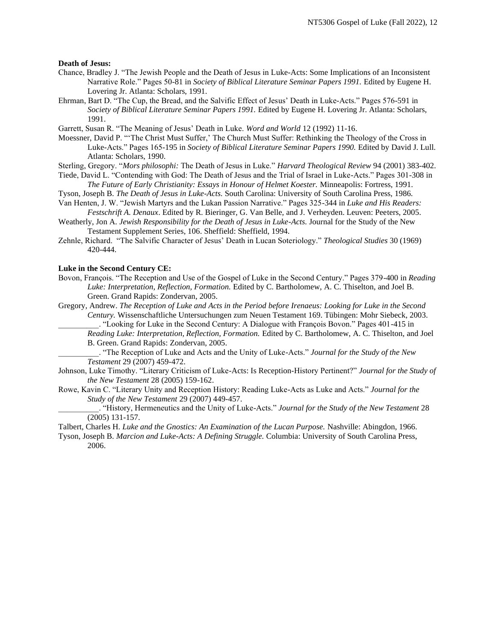#### **Death of Jesus:**

- Chance, Bradley J. "The Jewish People and the Death of Jesus in Luke-Acts: Some Implications of an Inconsistent Narrative Role." Pages 50-81 in *Society of Biblical Literature Seminar Papers 1991.* Edited by Eugene H. Lovering Jr. Atlanta: Scholars, 1991.
- Ehrman, Bart D. "The Cup, the Bread, and the Salvific Effect of Jesus' Death in Luke-Acts." Pages 576-591 in *Society of Biblical Literature Seminar Papers 1991.* Edited by Eugene H. Lovering Jr. Atlanta: Scholars, 1991.
- Garrett, Susan R. "The Meaning of Jesus' Death in Luke. *Word and World* 12 (1992) 11-16.
- Moessner, David P. "'The Christ Must Suffer,' The Church Must Suffer: Rethinking the Theology of the Cross in Luke-Acts." Pages 165-195 in *Society of Biblical Literature Seminar Papers 1990.* Edited by David J. Lull. Atlanta: Scholars, 1990.
- Sterling, Gregory. "*Mors philosophi:* The Death of Jesus in Luke." *Harvard Theological Review* 94 (2001) 383-402.
- Tiede, David L. "Contending with God: The Death of Jesus and the Trial of Israel in Luke-Acts." Pages 301-308 in *The Future of Early Christianity: Essays in Honour of Helmet Koester.* Minneapolis: Fortress, 1991.
- Tyson, Joseph B. *The Death of Jesus in Luke-Acts.* South Carolina: University of South Carolina Press, 1986. Van Henten, J. W. "Jewish Martyrs and the Lukan Passion Narrative." Pages 325-344 in *Luke and His Readers:*
- *Festschrift A. Denaux*. Edited by R. Bieringer, G. Van Belle, and J. Verheyden. Leuven: Peeters, 2005. Weatherly, Jon A. *Jewish Responsibility for the Death of Jesus in Luke-Acts.* Journal for the Study of the New Testament Supplement Series, 106. Sheffield: Sheffield, 1994.
- Zehnle, Richard. "The Salvific Character of Jesus' Death in Lucan Soteriology." *Theological Studies* 30 (1969) 420-444.

#### **Luke in the Second Century CE:**

- Bovon, François. "The Reception and Use of the Gospel of Luke in the Second Century." Pages 379-400 in *Reading Luke: Interpretation, Reflection, Formation.* Edited by C. Bartholomew, A. C. Thiselton, and Joel B. Green. Grand Rapids: Zondervan, 2005.
- Gregory, Andrew. *The Reception of Luke and Acts in the Period before Irenaeus: Looking for Luke in the Second Century.* Wissenschaftliche Untersuchungen zum Neuen Testament 169. Tübingen: Mohr Siebeck, 2003.
	- \_\_\_\_\_\_\_\_\_\_. "Looking for Luke in the Second Century: A Dialogue with François Bovon." Pages 401-415 in *Reading Luke: Interpretation, Reflection, Formation.* Edited by C. Bartholomew, A. C. Thiselton, and Joel
	- B. Green. Grand Rapids: Zondervan, 2005.

\_\_\_\_\_\_\_\_\_\_. "The Reception of Luke and Acts and the Unity of Luke-Acts." *Journal for the Study of the New Testament* 29 (2007) 459-472.

- Johnson, Luke Timothy. "Literary Criticism of Luke-Acts: Is Reception-History Pertinent?" *Journal for the Study of the New Testament* 28 (2005) 159-162.
- Rowe, Kavin C. "Literary Unity and Reception History: Reading Luke-Acts as Luke and Acts." *Journal for the Study of the New Testament* 29 (2007) 449-457.
	- \_\_\_\_\_\_\_\_\_\_. "History, Hermeneutics and the Unity of Luke-Acts." *Journal for the Study of the New Testament* 28 (2005) 131-157.
- Talbert, Charles H. *Luke and the Gnostics: An Examination of the Lucan Purpose.* Nashville: Abingdon, 1966.
- Tyson, Joseph B. *Marcion and Luke-Acts: A Defining Struggle.* Columbia: University of South Carolina Press, 2006.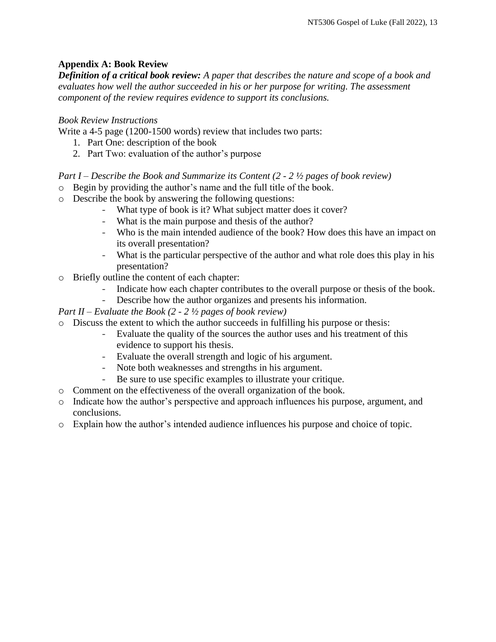# **Appendix A: Book Review**

*Definition of a critical book review: A paper that describes the nature and scope of a book and evaluates how well the author succeeded in his or her purpose for writing. The assessment component of the review requires evidence to support its conclusions.* 

# *Book Review Instructions*

Write a 4-5 page (1200-1500 words) review that includes two parts:

- 1. Part One: description of the book
- 2. Part Two: evaluation of the author's purpose

## *Part I – Describe the Book and Summarize its Content (2 - 2 ½ pages of book review)*

- o Begin by providing the author's name and the full title of the book.
- o Describe the book by answering the following questions:
	- What type of book is it? What subject matter does it cover?
	- What is the main purpose and thesis of the author?
	- Who is the main intended audience of the book? How does this have an impact on its overall presentation?
	- What is the particular perspective of the author and what role does this play in his presentation?
- o Briefly outline the content of each chapter:
	- Indicate how each chapter contributes to the overall purpose or thesis of the book.
	- Describe how the author organizes and presents his information.

## *Part II – Evaluate the Book (2 - 2 ½ pages of book review)*

- o Discuss the extent to which the author succeeds in fulfilling his purpose or thesis:
	- Evaluate the quality of the sources the author uses and his treatment of this evidence to support his thesis.
	- Evaluate the overall strength and logic of his argument.
	- Note both weaknesses and strengths in his argument.
	- Be sure to use specific examples to illustrate your critique.
- o Comment on the effectiveness of the overall organization of the book.
- o Indicate how the author's perspective and approach influences his purpose, argument, and conclusions.
- o Explain how the author's intended audience influences his purpose and choice of topic.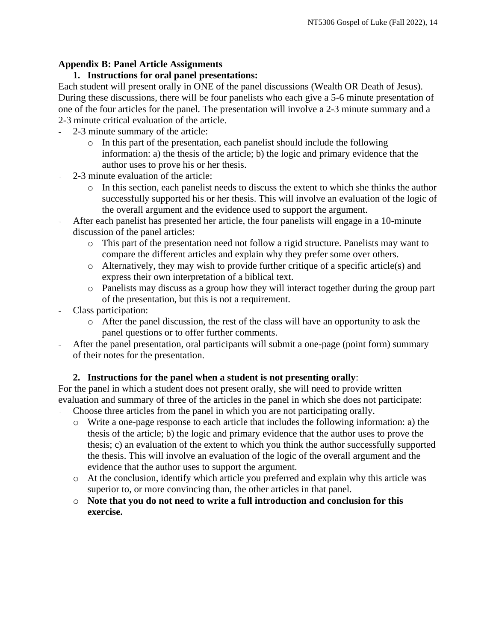## **Appendix B: Panel Article Assignments**

## **1. Instructions for oral panel presentations:**

Each student will present orally in ONE of the panel discussions (Wealth OR Death of Jesus). During these discussions, there will be four panelists who each give a 5-6 minute presentation of one of the four articles for the panel. The presentation will involve a 2-3 minute summary and a 2-3 minute critical evaluation of the article.

- 2-3 minute summary of the article:
	- o In this part of the presentation, each panelist should include the following information: a) the thesis of the article; b) the logic and primary evidence that the author uses to prove his or her thesis.
- 2-3 minute evaluation of the article:
	- o In this section, each panelist needs to discuss the extent to which she thinks the author successfully supported his or her thesis. This will involve an evaluation of the logic of the overall argument and the evidence used to support the argument.
- After each panelist has presented her article, the four panelists will engage in a 10-minute discussion of the panel articles:
	- o This part of the presentation need not follow a rigid structure. Panelists may want to compare the different articles and explain why they prefer some over others.
	- o Alternatively, they may wish to provide further critique of a specific article(s) and express their own interpretation of a biblical text.
	- o Panelists may discuss as a group how they will interact together during the group part of the presentation, but this is not a requirement.
- Class participation:
	- o After the panel discussion, the rest of the class will have an opportunity to ask the panel questions or to offer further comments.
- After the panel presentation, oral participants will submit a one-page (point form) summary of their notes for the presentation.

# **2. Instructions for the panel when a student is not presenting orally**:

For the panel in which a student does not present orally, she will need to provide written evaluation and summary of three of the articles in the panel in which she does not participate: Choose three articles from the panel in which you are not participating orally.

- o Write a one-page response to each article that includes the following information: a) the thesis of the article; b) the logic and primary evidence that the author uses to prove the thesis; c) an evaluation of the extent to which you think the author successfully supported the thesis. This will involve an evaluation of the logic of the overall argument and the evidence that the author uses to support the argument.
- o At the conclusion, identify which article you preferred and explain why this article was superior to, or more convincing than, the other articles in that panel.
- o **Note that you do not need to write a full introduction and conclusion for this exercise.**